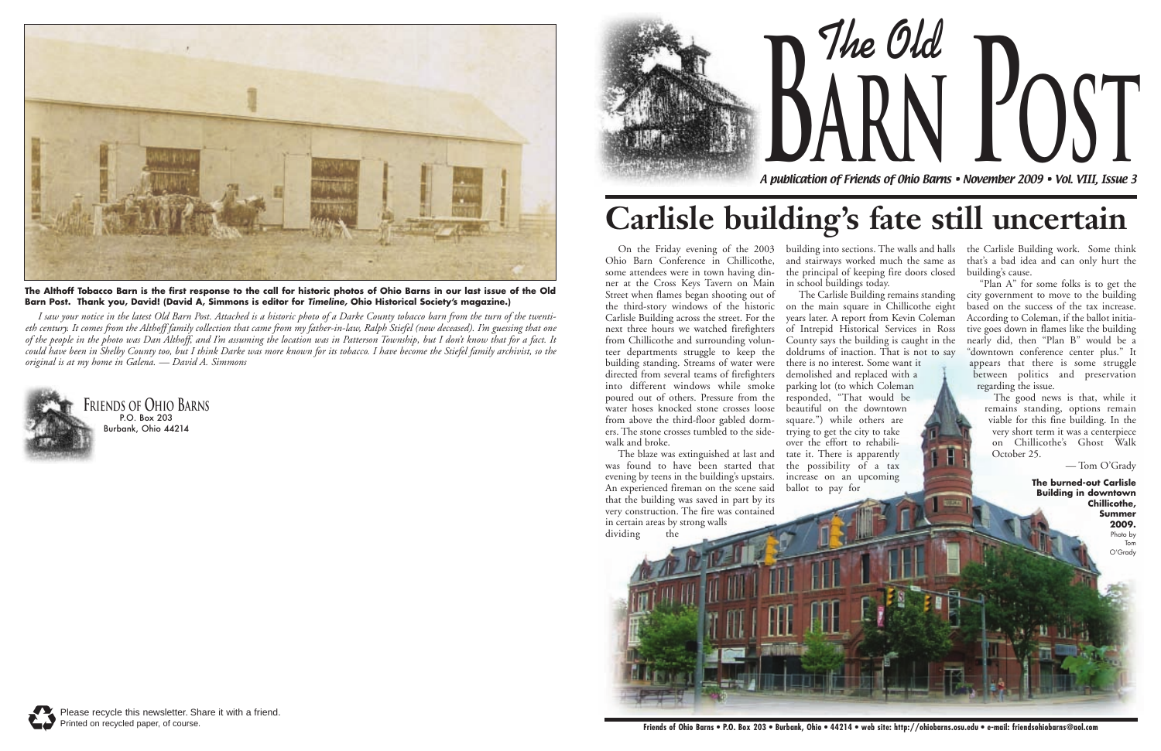

**The Old arn Post**

A publication of Friends of Ohio Barns • November 2009 • Vol. VIII, Issue 3





### **Carlisle building's fate still uncertain**



**The Althoff Tobacco Barn is the first response to the call for historic photos of Ohio Barns in our last issue of the Old Barn Post. Thank you, David! (David A, Simmons is editor for Timeline, Ohio Historical Society's magazine.)**

*I saw your notice in the latest Old Barn Post. Attached is a historic photo of a Darke County tobacco barn from the turn of the twentieth century. It comes from the Althoff family collection that came from my father-in-law, Ralph Stiefel (now deceased). I'm guessing that one of the people in the photo was Dan Althoff, and I'm assuming the location was in Patterson Township, but I don't know that for a fact. It could have been in Shelby County too, but I think Darke was more known for its tobacco. I have become the Stiefel family archivist, so the original is at my home in Galena. — David A. Simmons*

Ohio Barn Conference in Chillicothe, some attendees were in town having dinner at the Cross Keys Tavern on Main Street when flames began shooting out of the third-story windows of the historic on the main square in Chillicothe eight Carlisle Building across the street. For the next three hours we watched firefighters from Chillicothe and surrounding volunteer departments struggle to keep the building standing. Streams of water were directed from several teams of firefighters into different windows while smoke parking lot (to which Coleman poured out of others. Pressure from the water hoses knocked stone crosses loose from above the third-floor gabled dormers. The stone crosses tumbled to the sidewalk and broke.

On the Friday evening of the 2003 building into sections. The walls and halls the Carlisle Building work. Some think and stairways worked much the same as the principal of keeping fire doors closed in school buildings today. The Carlisle Building remains standing

The blaze was extinguished at last and tate it. There is apparently was found to have been started that evening by teens in the building's upstairs. An experienced fireman on the scene said that the building was saved in part by its very construction. The fire was contained in certain areas by strong walls



years later. A report from Kevin Coleman of Intrepid Historical Services in Ross County says the building is caught in the doldrums of inaction. That is not to say there is no interest. Some want it demolished and replaced with a responded, "That would be beautiful on the downtown square.") while others are trying to get the city to take over the effort to rehabilithe possibility of a tax increase on an upcoming ballot to pay for

that's a bad idea and can only hurt the building's cause.

"Plan A" for some folks is to get the city government to move to the building based on the success of the tax increase. According to Coleman, if the ballot initiative goes down in flames like the building nearly did, then "Plan B" would be a "downtown conference center plus." It appears that there is some struggle between politics and preservation regarding the issue.

> The good news is that, while it remains standing, options remain viable for this fine building. In the very short term it was a centerpiece on Chillicothe's Ghost Walk October 25.

— Tom O'Grady

**The burned-out Carlisle Building in downtown Chillicothe, Summer 2009.** 

Photo by Tom O'Grady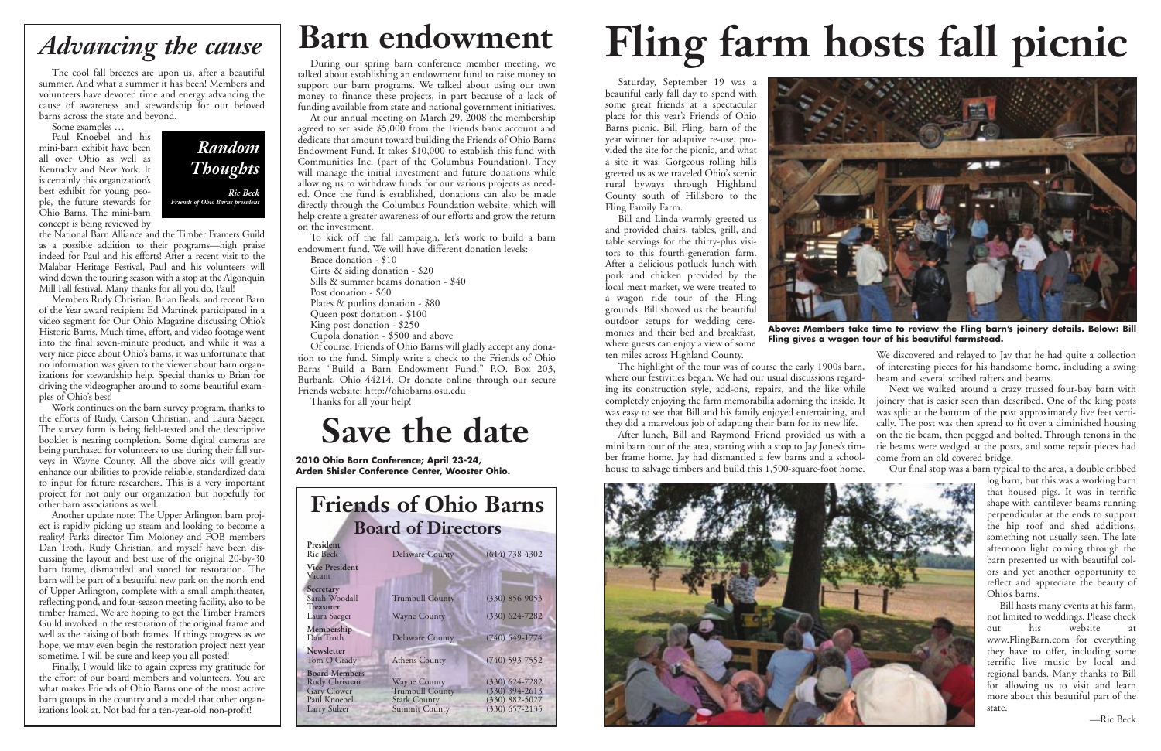The cool fall breezes are upon us, after a beautiful summer. And what a summer it has been! Members and volunteers have devoted time and energy advancing the cause of awareness and stewardship for our beloved barns across the state and beyond.

Some examples …

the National Barn Alliance and the Timber Framers Guild as a possible addition to their programs—high praise indeed for Paul and his efforts! After a recent visit to the Malabar Heritage Festival, Paul and his volunteers will wind down the touring season with a stop at the Algonquin Mill Fall festival. Many thanks for all you do, Paul!

Paul Knoebel and his mini-barn exhibit have been all over Ohio as well as Kentucky and New York. It is certainly this organization's best exhibit for young people, the future stewards for Ohio Barns. The mini-barn concept is being reviewed by

Members Rudy Christian, Brian Beals, and recent Barn of the Year award recipient Ed Martinek participated in a video segment for Our Ohio Magazine discussing Ohio's Historic Barns. Much time, effort, and video footage went into the final seven-minute product, and while it was a very nice piece about Ohio's barns, it was unfortunate that no information was given to the viewer about barn organizations for stewardship help. Special thanks to Brian for driving the videographer around to some beautiful examples of Ohio's best!

Work continues on the barn survey program, thanks to the efforts of Rudy, Carson Christian, and Laura Saeger. The survey form is being field-tested and the descriptive booklet is nearing completion. Some digital cameras are being purchased for volunteers to use during their fall surveys in Wayne County. All the above aids will greatly enhance our abilities to provide reliable, standardized data to input for future researchers. This is a very important project for not only our organization but hopefully for other barn associations as well.

Another update note: The Upper Arlington barn project is rapidly picking up steam and looking to become a reality! Parks director Tim Moloney and FOB members Dan Troth, Rudy Christian, and myself have been discussing the layout and best use of the original 20-by-30 barn frame, dismantled and stored for restoration. The barn will be part of a beautiful new park on the north end of Upper Arlington, complete with a small amphitheater, reflecting pond, and four-season meeting facility, also to be timber framed. We are hoping to get the Timber Framers Guild involved in the restoration of the original frame and well as the raising of both frames. If things progress as we hope, we may even begin the restoration project next year sometime. I will be sure and keep you all posted!

Finally, I would like to again express my gratitude for the effort of our board members and volunteers. You are what makes Friends of Ohio Barns one of the most active barn groups in the country and a model that other organizations look at. Not bad for a ten-year-old non-profit!

| <b>Friends of Ohio Barns</b>                                                          |                                                                                              |                                                                                    |
|---------------------------------------------------------------------------------------|----------------------------------------------------------------------------------------------|------------------------------------------------------------------------------------|
| <b>Board of Directors</b>                                                             |                                                                                              |                                                                                    |
| President<br><b>Ric Beck</b>                                                          | <b>Delaware County</b>                                                                       | $(614) 738 - 4302$                                                                 |
| <b>Vice President</b><br>Vacant                                                       |                                                                                              |                                                                                    |
| Secretary<br>Sarah Woodall<br><b>Treasurer</b>                                        | <b>Trumbull County</b>                                                                       | $(330) 856 - 9053$                                                                 |
| Laura Saeger                                                                          | <b>Wayne County</b>                                                                          | $(330) 624 - 7282$                                                                 |
| Membership<br>Dan Troth                                                               | <b>Delaware County</b>                                                                       | $(740)$ 549-1774                                                                   |
| Newsletter<br>Tom O'Grady                                                             | <b>Athens County</b>                                                                         | $(740)$ 593-7552                                                                   |
| <b>Board Members</b><br>Rudy Christian<br>Gary Clower<br>Paul Knoebel<br>Larry Sulzer | <b>Wayne County</b><br><b>Trumbull County</b><br><b>Stark County</b><br><b>Summit County</b> | $(330)$ $624 - 7282$<br>$(330)$ 394-2613<br>$(330) 882 - 5027$<br>$(330)$ 657-2135 |



#### **Barn endowment**

During our spring barn conference member meeting, we talked about establishing an endowment fund to raise money to support our barn programs. We talked about using our own money to finance these projects, in part because of a lack of funding available from state and national government initiatives.

At our annual meeting on March 29, 2008 the membership agreed to set aside \$5,000 from the Friends bank account and dedicate that amount toward building the Friends of Ohio Barns Endowment Fund. It takes \$10,000 to establish this fund with Communities Inc. (part of the Columbus Foundation). They will manage the initial investment and future donations while allowing us to withdraw funds for our various projects as needed. Once the fund is established, donations can also be made directly through the Columbus Foundation website, which will help create a greater awareness of our efforts and grow the return on the investment.

To kick off the fall campaign, let's work to build a barn endowment fund. We will have different donation levels:

Brace donation - \$10

- Girts & siding donation \$20 Sills & summer beams donation - \$40
- Post donation \$60
- Plates & purlins donation \$80
- Queen post donation \$100
- King post donation \$250
- Cupola donation \$500 and above

Of course, Friends of Ohio Barns will gladly accept any donation to the fund. Simply write a check to the Friends of Ohio Barns "Build a Barn Endowment Fund," P.O. Box 203, Burbank, Ohio 44214. Or donate online through our secure Friends website: http://ohiobarns.osu.edu

Thanks for all your help!

#### *Advancing the cause*

Saturday, September 19 was a beautiful early fall day to spend with some great friends at a spectacular place for this year's Friends of Ohio Barns picnic. Bill Fling, barn of the year winner for adaptive re-use, provided the site for the picnic, and what a site it was! Gorgeous rolling hills greeted us as we traveled Ohio's scenic rural byways through Highland County south of Hillsboro to the Fling Family Farm.

Bill and Linda warmly greeted us and provided chairs, tables, grill, and table servings for the thirty-plus visitors to this fourth-generation farm. After a delicious potluck lunch with pork and chicken provided by the local meat market, we were treated to a wagon ride tour of the Fling grounds. Bill showed us the beautiful outdoor setups for wedding ceremonies and their bed and breakfast, where guests can enjoy a view of some ten miles across Highland County.

The highlight of the tour was of course the early 1900s barn, where our festivities began. We had our usual discussions regard-

ing its construction style, add-ons, repairs, and the like while completely enjoying the farm memorabilia adorning the inside. It was easy to see that Bill and his family enjoyed entertaining, and they did a marvelous job of adapting their barn for its new life. After lunch, Bill and Raymond Friend provided us with a mini barn tour of the area, starting with a stop to Jay Jones's timber frame home. Jay had dismantled a few barns and a schoolhouse to salvage timbers and build this 1,500-square-foot home. Next we walked around a crazy trussed four-bay barn with joinery that is easier seen than described. One of the king posts was split at the bottom of the post approximately five feet vertically. The post was then spread to fit over a diminished housing on the tie beam, then pegged and bolted. Through tenons in the tie beams were wedged at the posts, and some repair pieces had come from an old covered bridge. Our final stop was a barn typical to the area, a double cribbed



We discovered and relayed to Jay that he had quite a collection of interesting pieces for his handsome home, including a swing beam and several scribed rafters and beams.

> log barn, but this was a working barn that housed pigs. It was in terrific shape with cantilever beams running perpendicular at the ends to support the hip roof and shed additions, something not usually seen. The late afternoon light coming through the barn presented us with beautiful colors and yet another opportunity to reflect and appreciate the beauty of Ohio's barns.

> Bill hosts many events at his farm, not limited to weddings. Please check out his website www.FlingBarn.com for everything they have to offer, including some terrific live music by local and regional bands. Many thanks to Bill for allowing us to visit and learn more about this beautiful part of the state.

> > —Ric Beck

# **Fling farm hosts fall picnic**



**Above: Members take time to review the Fling barn's joinery details. Below: Bill Fling gives a wagon tour of his beautiful farmstead.**

#### **Save the date**

**2010 Ohio Barn Conference; April 23-24, Arden Shisler Conference Center, Wooster Ohio.**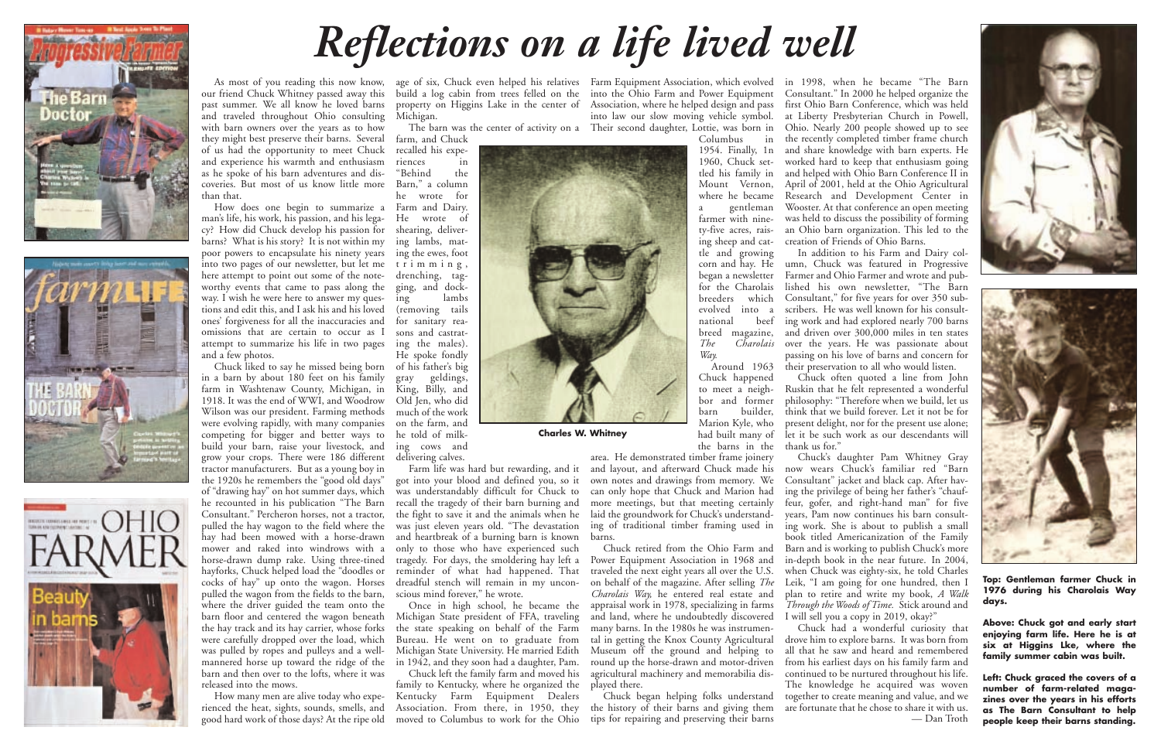our friend Chuck Whitney passed away this past summer. We all know he loved barns and traveled throughout Ohio consulting with barn owners over the years as to how they might best preserve their barns. Several of us had the opportunity to meet Chuck and experience his warmth and enthusiasm as he spoke of his barn adventures and discoveries. But most of us know little more than that.

How does one begin to summarize a Farm and Dairy. man's life, his work, his passion, and his legacy? How did Chuck develop his passion for barns? What is his story? It is not within my ing lambs, matpoor powers to encapsulate his ninety years into two pages of our newsletter, but let me trimming, here attempt to point out some of the noteworthy events that came to pass along the way. I wish he were here to answer my questions and edit this, and I ask his and his loved ones' forgiveness for all the inaccuracies and for sanitary reaomissions that are certain to occur as I attempt to summarize his life in two pages ing the males). and a few photos.

As most of you reading this now know, age of six, Chuck even helped his relatives Farm Equipment Association, which evolved build a log cabin from trees felled on the into the Ohio Farm and Power Equipment property on Higgins Lake in the center of Association, where he helped design and pass Michigan.

Chuck liked to say he missed being born of his father's big in a barn by about 180 feet on his family farm in Washtenaw County, Michigan, in 1918. It was the end of WWI, and Woodrow Wilson was our president. Farming methods were evolving rapidly, with many companies competing for bigger and better ways to build your barn, raise your livestock, and grow your crops. There were 186 different tractor manufacturers. But as a young boy in the 1920s he remembers the "good old days" of "drawing hay" on hot summer days, which he recounted in his publication "The Barn Consultant." Percheron horses, not a tractor, pulled the hay wagon to the field where the hay had been mowed with a horse-drawn mower and raked into windrows with a horse-drawn dump rake. Using three-tined hayforks, Chuck helped load the "doodles or cocks of hay" up onto the wagon. Horses pulled the wagon from the fields to the barn, where the driver guided the team onto the barn floor and centered the wagon beneath the hay track and its hay carrier, whose forks were carefully dropped over the load, which was pulled by ropes and pulleys and a wellmannered horse up toward the ridge of the barn and then over to the lofts, where it was released into the mows.

How many men are alive today who experienced the heat, sights, sounds, smells, and good hard work of those days? At the ripe old

farm, and Chuck recalled his experiences in "Behind the Barn," a column he wrote for He wrote of shearing, delivering the ewes, foot drenching, tagging, and docking lambs (removing tails sons and castrat-He spoke fondly gray geldings, King, Billy, and Old Jen, who did much of the work on the farm, and he told of milking cows and delivering calves.

Farm life was hard but rewarding, and it got into your blood and defined you, so it was understandably difficult for Chuck to recall the tragedy of their barn burning and the fight to save it and the animals when he was just eleven years old. "The devastation and heartbreak of a burning barn is known only to those who have experienced such tragedy. For days, the smoldering hay left a reminder of what had happened. That dreadful stench will remain in my unconscious mind forever," he wrote.

The barn was the center of activity on a Their second daughter, Lottie, was born in

Once in high school, he became the Michigan State president of FFA, traveling the state speaking on behalf of the Farm Bureau. He went on to graduate from Michigan State University. He married Edith in 1942, and they soon had a daughter, Pam.

Chuck left the family farm and moved his family to Kentucky, where he organized the Kentucky Farm Equipment Dealers Association. From there, in 1950, they moved to Columbus to work for the Ohio

into law our slow moving vehicle symbol.

Columbus in 1954. Finally, 1n 1960, Chuck settled his family in Mount Vernon, where he became a gentleman farmer with ninety-five acres, raising sheep and cattle and growing corn and hay. He began a newsletter for the Charolais breeders which evolved into a national beef breed magazine,<br>The Charolais *The Charolais Way.*

Around 1963 Chuck happened to meet a neighbor and former<br>barn builder, builder, Marion Kyle, who had built many of the barns in the

area. He demonstrated timber frame joinery and layout, and afterward Chuck made his own notes and drawings from memory. We can only hope that Chuck and Marion had more meetings, but that meeting certainly laid the groundwork for Chuck's understanding of traditional timber framing used in barns.

Chuck retired from the Ohio Farm and Power Equipment Association in 1968 and traveled the next eight years all over the U.S. on behalf of the magazine. After selling *The Charolais Way,* he entered real estate and appraisal work in 1978, specializing in farms and land, where he undoubtedly discovered many barns. In the 1980s he was instrumental in getting the Knox County Agricultural Museum off the ground and helping to round up the horse-drawn and motor-driven agricultural machinery and memorabilia displayed there.

Chuck began helping folks understand the history of their barns and giving them tips for repairing and preserving their barns

in 1998, when he became "The Barn Consultant." In 2000 he helped organize the first Ohio Barn Conference, which was held at Liberty Presbyterian Church in Powell, Ohio. Nearly 200 people showed up to see the recently completed timber frame church and share knowledge with barn experts. He worked hard to keep that enthusiasm going and helped with Ohio Barn Conference II in April of 2001, held at the Ohio Agricultural Research and Development Center in Wooster. At that conference an open meeting was held to discuss the possibility of forming an Ohio barn organization. This led to the creation of Friends of Ohio Barns.

In addition to his Farm and Dairy column, Chuck was featured in Progressive Farmer and Ohio Farmer and wrote and published his own newsletter, "The Barn Consultant," for five years for over 350 subscribers. He was well known for his consulting work and had explored nearly 700 barns and driven over 300,000 miles in ten states over the years. He was passionate about passing on his love of barns and concern for their preservation to all who would listen.

Chuck often quoted a line from John Ruskin that he felt represented a wonderful philosophy: "Therefore when we build, let us think that we build forever. Let it not be for present delight, nor for the present use alone; let it be such work as our descendants will thank us for."

Chuck's daughter Pam Whitney Gray now wears Chuck's familiar red "Barn Consultant" jacket and black cap. After having the privilege of being her father's "chauffeur, gofer, and right-hand man" for five years, Pam now continues his barn consulting work. She is about to publish a small book titled Americanization of the Family Barn and is working to publish Chuck's more in-depth book in the near future. In 2004, when Chuck was eighty-six, he told Charles Leik, "I am going for one hundred, then I plan to retire and write my book, *A Walk Through the Woods of Time.* Stick around and I will sell you a copy in 2019, okay?"

Chuck had a wonderful curiosity that drove him to explore barns. It was born from all that he saw and heard and remembered from his earliest days on his family farm and continued to be nurtured throughout his life. The knowledge he acquired was woven together to create meaning and value, and we are fortunate that he chose to share it with us. — Dan Troth







## *Reflections on a life lived well*



**Top: Gentleman farmer Chuck in 1976 during his Charolais Way days.** 

**Above: Chuck got and early start enjoying farm life. Here he is at six at Higgins Lke, where the family summer cabin was built.**

**Left: Chuck graced the covers of a number of farm-related magazines over the years in his efforts as The Barn Consultant to help people keep their barns standing.**

**Charles W. Whitney**